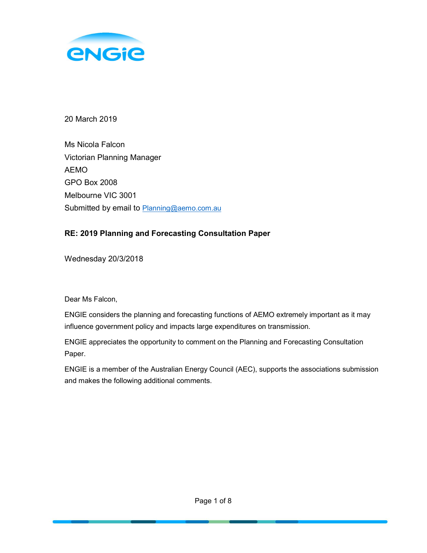

20 March 2019

Ms Nicola Falcon Victorian Planning Manager AEMO GPO Box 2008 Melbourne VIC 3001 Submitted by email to Planning@aemo.com.au

## RE: 2019 Planning and Forecasting Consultation Paper

Wednesday 20/3/2018

Dear Ms Falcon,

ENGIE considers the planning and forecasting functions of AEMO extremely important as it may influence government policy and impacts large expenditures on transmission.

ENGIE appreciates the opportunity to comment on the Planning and Forecasting Consultation Paper.

ENGIE is a member of the Australian Energy Council (AEC), supports the associations submission and makes the following additional comments.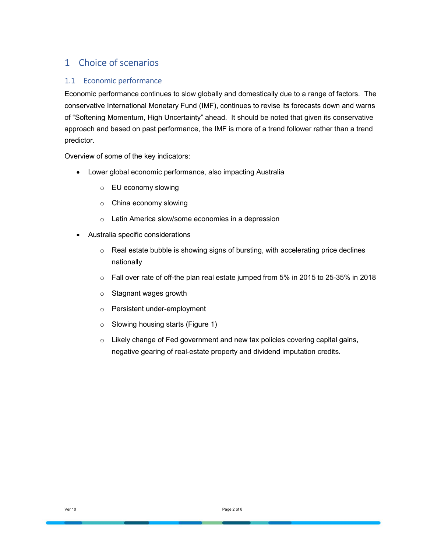# 1 Choice of scenarios

### 1.1 Economic performance

Economic performance continues to slow globally and domestically due to a range of factors. The conservative International Monetary Fund (IMF), continues to revise its forecasts down and warns of "Softening Momentum, High Uncertainty" ahead. It should be noted that given its conservative approach and based on past performance, the IMF is more of a trend follower rather than a trend predictor.

Overview of some of the key indicators:

- Lower global economic performance, also impacting Australia
	- o EU economy slowing
	- o China economy slowing
	- o Latin America slow/some economies in a depression
- Australia specific considerations
	- $\circ$  Real estate bubble is showing signs of bursting, with accelerating price declines nationally
	- $\circ$  Fall over rate of off-the plan real estate jumped from 5% in 2015 to 25-35% in 2018
	- o Stagnant wages growth
	- o Persistent under-employment
	- o Slowing housing starts (Figure 1)
	- o Likely change of Fed government and new tax policies covering capital gains, negative gearing of real-estate property and dividend imputation credits.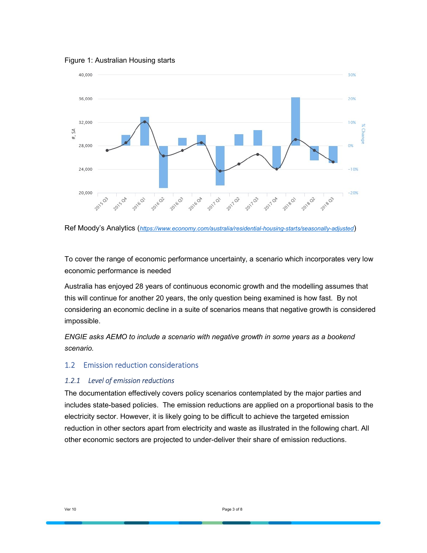Figure 1: Australian Housing starts



Ref Moody's Analytics (https://www.economy.com/australia/residential-housing-starts/seasonally-adjusted)

To cover the range of economic performance uncertainty, a scenario which incorporates very low economic performance is needed

Australia has enjoyed 28 years of continuous economic growth and the modelling assumes that this will continue for another 20 years, the only question being examined is how fast. By not considering an economic decline in a suite of scenarios means that negative growth is considered impossible.

ENGIE asks AEMO to include a scenario with negative growth in some years as a bookend scenario.

#### 1.2 Emission reduction considerations

#### 1.2.1 Level of emission reductions

The documentation effectively covers policy scenarios contemplated by the major parties and includes state-based policies. The emission reductions are applied on a proportional basis to the electricity sector. However, it is likely going to be difficult to achieve the targeted emission reduction in other sectors apart from electricity and waste as illustrated in the following chart. All other economic sectors are projected to under-deliver their share of emission reductions.

Ver 10 Page 3 of 8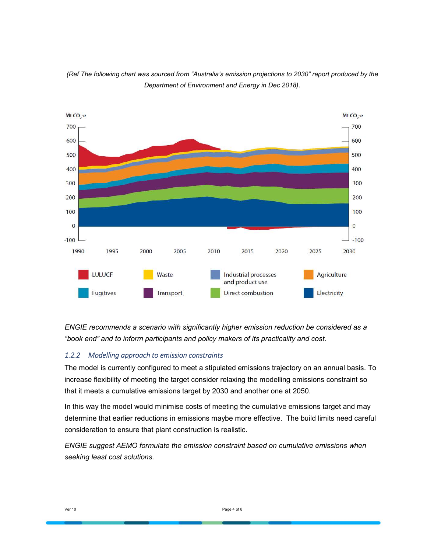

(Ref The following chart was sourced from "Australia's emission projections to 2030" report produced by the Department of Environment and Energy in Dec 2018).

ENGIE recommends a scenario with significantly higher emission reduction be considered as a "book end" and to inform participants and policy makers of its practicality and cost.

#### 1.2.2 Modelling approach to emission constraints

The model is currently configured to meet a stipulated emissions trajectory on an annual basis. To increase flexibility of meeting the target consider relaxing the modelling emissions constraint so that it meets a cumulative emissions target by 2030 and another one at 2050.

In this way the model would minimise costs of meeting the cumulative emissions target and may determine that earlier reductions in emissions maybe more effective. The build limits need careful consideration to ensure that plant construction is realistic.

ENGIE suggest AEMO formulate the emission constraint based on cumulative emissions when seeking least cost solutions.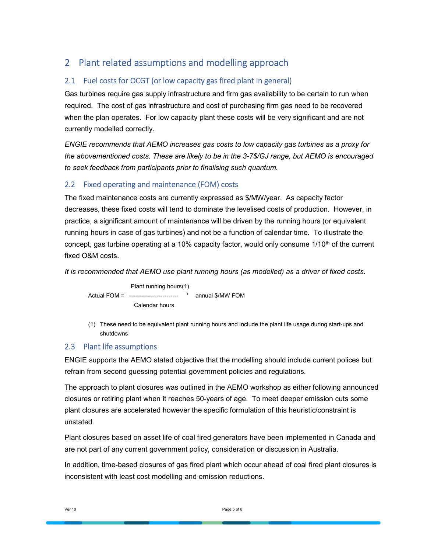# 2 Plant related assumptions and modelling approach

## 2.1 Fuel costs for OCGT (or low capacity gas fired plant in general)

Gas turbines require gas supply infrastructure and firm gas availability to be certain to run when required. The cost of gas infrastructure and cost of purchasing firm gas need to be recovered when the plan operates. For low capacity plant these costs will be very significant and are not currently modelled correctly.

ENGIE recommends that AEMO increases gas costs to low capacity gas turbines as a proxy for the abovementioned costs. These are likely to be in the 3-7\$/GJ range, but AEMO is encouraged to seek feedback from participants prior to finalising such quantum.

## 2.2 Fixed operating and maintenance (FOM) costs

The fixed maintenance costs are currently expressed as \$/MW/year. As capacity factor decreases, these fixed costs will tend to dominate the levelised costs of production. However, in practice, a significant amount of maintenance will be driven by the running hours (or equivalent running hours in case of gas turbines) and not be a function of calendar time. To illustrate the concept, gas turbine operating at a 10% capacity factor, would only consume  $1/10<sup>th</sup>$  of the current fixed O&M costs.

It is recommended that AEMO use plant running hours (as modelled) as a driver of fixed costs.

 Plant running hours(1) Actual FOM = ------------------------- \* annual \$/MW FOM Calendar hours

(1) These need to be equivalent plant running hours and include the plant life usage during start-ups and shutdowns

## 2.3 Plant life assumptions

ENGIE supports the AEMO stated objective that the modelling should include current polices but refrain from second guessing potential government policies and regulations.

The approach to plant closures was outlined in the AEMO workshop as either following announced closures or retiring plant when it reaches 50-years of age. To meet deeper emission cuts some plant closures are accelerated however the specific formulation of this heuristic/constraint is unstated.

Plant closures based on asset life of coal fired generators have been implemented in Canada and are not part of any current government policy, consideration or discussion in Australia.

In addition, time-based closures of gas fired plant which occur ahead of coal fired plant closures is inconsistent with least cost modelling and emission reductions.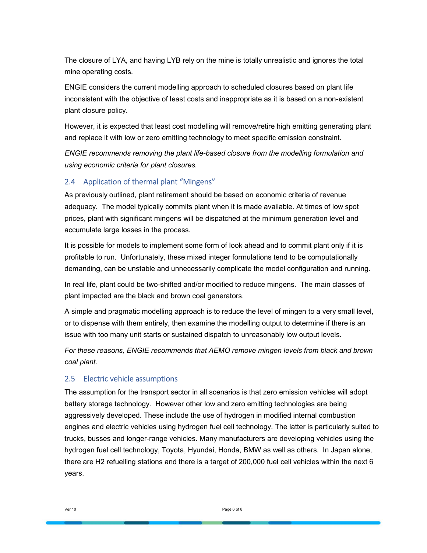The closure of LYA, and having LYB rely on the mine is totally unrealistic and ignores the total mine operating costs.

ENGIE considers the current modelling approach to scheduled closures based on plant life inconsistent with the objective of least costs and inappropriate as it is based on a non-existent plant closure policy.

However, it is expected that least cost modelling will remove/retire high emitting generating plant and replace it with low or zero emitting technology to meet specific emission constraint.

ENGIE recommends removing the plant life-based closure from the modelling formulation and using economic criteria for plant closures.

#### 2.4 Application of thermal plant "Mingens"

As previously outlined, plant retirement should be based on economic criteria of revenue adequacy. The model typically commits plant when it is made available. At times of low spot prices, plant with significant mingens will be dispatched at the minimum generation level and accumulate large losses in the process.

It is possible for models to implement some form of look ahead and to commit plant only if it is profitable to run. Unfortunately, these mixed integer formulations tend to be computationally demanding, can be unstable and unnecessarily complicate the model configuration and running.

In real life, plant could be two-shifted and/or modified to reduce mingens. The main classes of plant impacted are the black and brown coal generators.

A simple and pragmatic modelling approach is to reduce the level of mingen to a very small level, or to dispense with them entirely, then examine the modelling output to determine if there is an issue with too many unit starts or sustained dispatch to unreasonably low output levels.

For these reasons, ENGIE recommends that AEMO remove mingen levels from black and brown coal plant.

#### 2.5 Electric vehicle assumptions

The assumption for the transport sector in all scenarios is that zero emission vehicles will adopt battery storage technology. However other low and zero emitting technologies are being aggressively developed. These include the use of hydrogen in modified internal combustion engines and electric vehicles using hydrogen fuel cell technology. The latter is particularly suited to trucks, busses and longer-range vehicles. Many manufacturers are developing vehicles using the hydrogen fuel cell technology, Toyota, Hyundai, Honda, BMW as well as others. In Japan alone, there are H2 refuelling stations and there is a target of 200,000 fuel cell vehicles within the next 6 years.

Ver 10 Page 6 of 8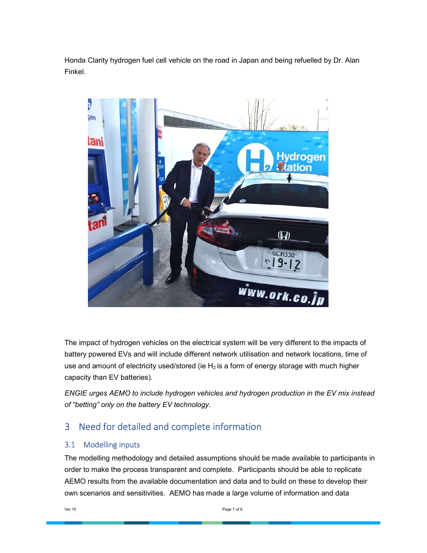Honda Clarity hydrogen fuel cell vehicle on the road in Japan and being refuelled by Dr. Alan Finkel.



The impact of hydrogen vehicles on the electrical system will be very different to the impacts of battery powered EVs and will include different network utilisation and network locations, time of use and amount of electricity used/stored (ie  $H_2$  is a form of energy storage with much higher capacity than EV batteries).

ENGIE urges AEMO to include hydrogen vehicles and hydrogen production in the EV mix instead of "betting" only on the battery EV technology.

# 3 Need for detailed and complete information

### 3.1 Modelling inputs

The modelling methodology and detailed assumptions should be made available to participants in order to make the process transparent and complete. Participants should be able to replicate AEMO results from the available documentation and data and to build on these to develop their own scenarios and sensitivities. AEMO has made a large volume of information and data